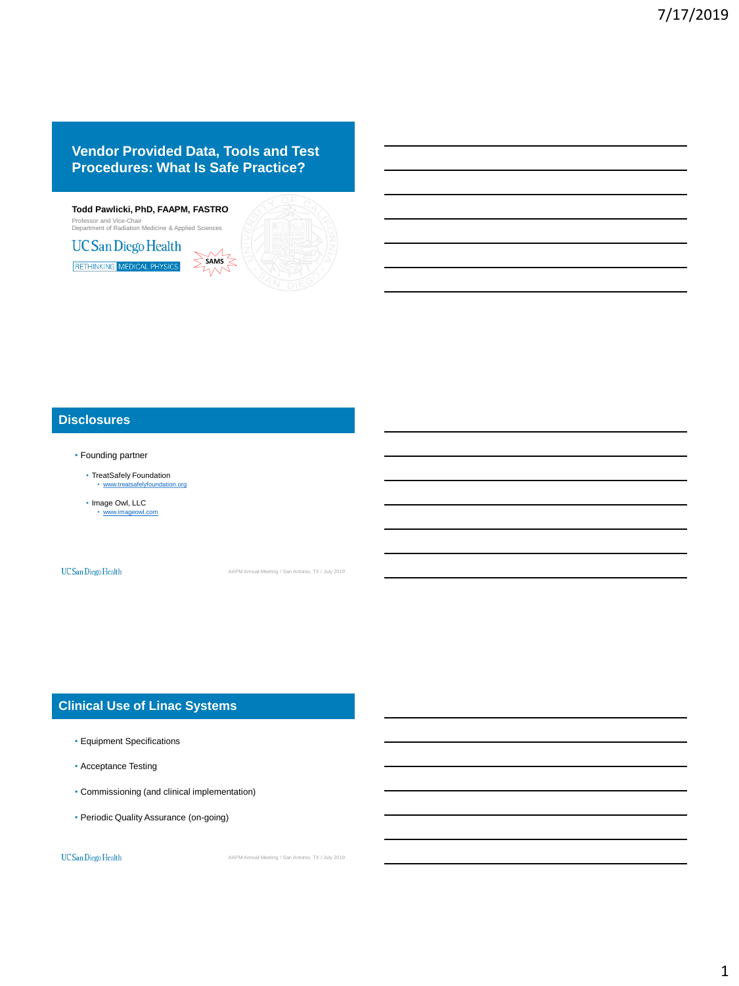# **Vendor Provided Data, Tools and Test Procedures: What Is Safe Practice?**



### **Disclosures**

- Founding partner
	- TreatSafely Foundation • [www.treatsafelyfoundation.org](http://www.treatsafelyfoundation.org/)
	- Image Owl, LLC • [www.imageowl.com](http://www.imageowl.com/)

**UC** San Diego Health

AAPM Annual Meeting / San Antonio, TX / July 2019

# **Clinical Use of Linac Systems**

- Equipment Specifications
- Acceptance Testing
- Commissioning (and clinical implementation)
- Periodic Quality Assurance (on-going)

UC San Diego Health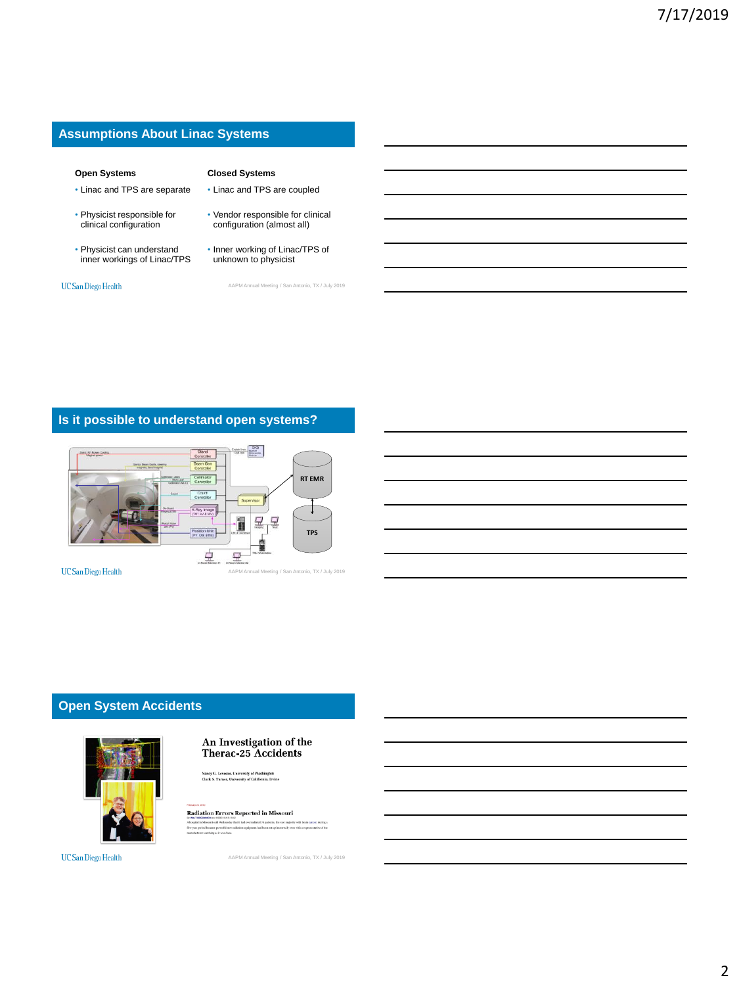### **Assumptions About Linac Systems**

#### **Open Systems**

- Linac and TPS are separate
- Physicist responsible for clinical configuration
- Physicist can understand inner workings of Linac/TPS

UC San Diego Health

- Vendor responsible for clinical configuration (almost all)
- Inner working of Linac/TPS of unknown to physicist

**Closed Systems** • Linac and TPS are coupled

AAPM Annual Meeting / San Antonio, TX / July 2019

# **Is it possible to understand open systems?**



# **Open System Accidents**



#### An Investigation of the Therac-25 Accidents

Nancy G. Leveson, University of Washin<br>Clark S. Turner, University of Californi

**Radiation Errors Reported in Missouri** 

UC San Diego Health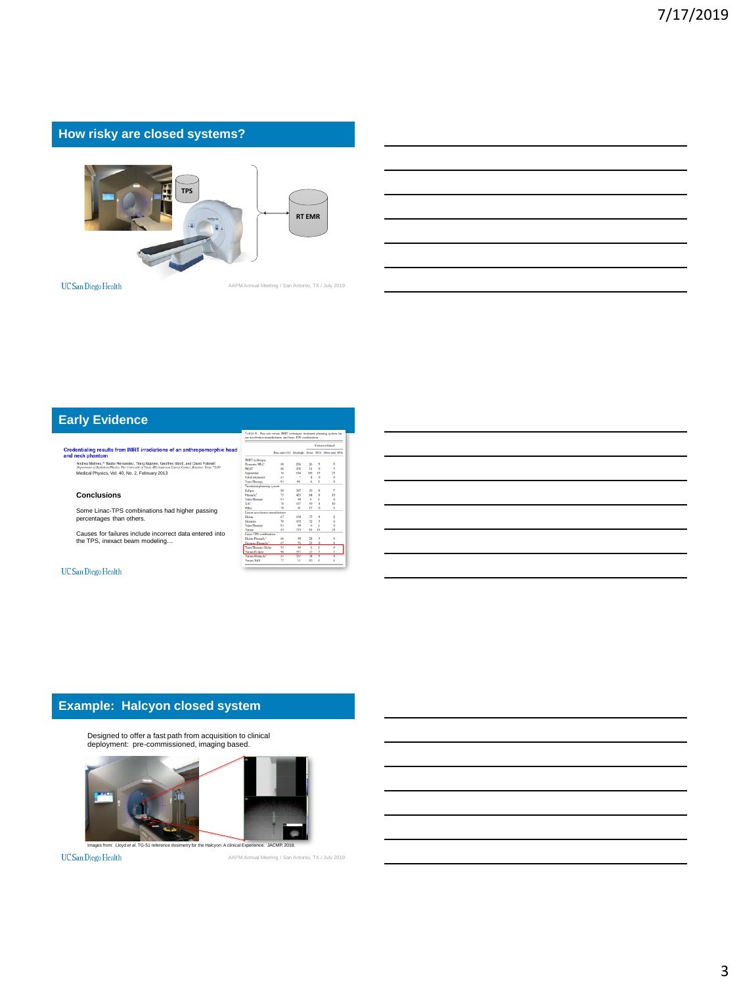# **How risky are closed systems?**



UC San Diego Health

AAPM Annual Meeting / San Antonio, TX / July 2019

# **Early Evidence**

Credentialing results from IMRT irradiations of an anthropomorphic head neck phantom<br>  $A_{\text{N}}$  Advertisers, Vol. 40, February 2013, The University 2013, Alexander and David Fabruary<br>  $A_{\text{N}}$  Constant Construction 2013,

#### **Conclusions**

Some Linac-TPS combinations had higher passing percentages than others.

Causes for failures include incorrect data entered into the TPS, inexact beam modeling…

#### **UC** San Diego Health

|                                 |                 |     | Criterion failed |                    |                                              |
|---------------------------------|-----------------|-----|------------------|--------------------|----------------------------------------------|
|                                 |                 |     |                  |                    | Pass rate (%) Attempts Dose DTA Dose and DTA |
| <b>IMRT</b> technique           |                 |     |                  |                    |                                              |
| Donamic MLC                     | ss.             | 206 | 56               | 5                  | š                                            |
| <b>IMAT</b>                     | 86              | 103 | n                | $\theta$           | î,                                           |
| Segmental                       | 76              | 634 | 109              | 15                 | 25                                           |
| Solid attenuator                | n               | ÷   | d.               | $\alpha$           | $\theta$                                     |
| <b>Tomo Therapy</b>             | Q3              | 99  | 6                | f,                 | $\theta$                                     |
| Treatment planning system       |                 |     |                  |                    |                                              |
| Eclipse                         | 88              | 387 | $^{10}$          | ×                  | 7                                            |
| Pinnach <sup>3</sup>            | 75              | 435 | 8.4              | $\bar{\mathbf{x}}$ | п                                            |
| <b>TomoTherapy</b>              | 91              | 99  | 6                | ï                  | $\Omega$                                     |
| XiO                             | 76              | 137 | 19               | d.                 | 10                                           |
| Other                           | 78              | 91  | 17               | ö                  | x                                            |
| Linear accelerator manufacturer |                 |     |                  |                    |                                              |
| Flekta                          | 67              | 130 | $\overline{1}$   | ۵                  | ż                                            |
| Simons                          | 30 <sub>1</sub> | 135 | <b>V3</b>        | x                  | 6                                            |
| <b>TomoTherany</b>              | 93              | 99  | 6                | Ï                  | $\ddot{\phantom{a}}$                         |
| Voice                           | 85              | 775 | 81               | n                  | 25                                           |
| Line-TPS combination            |                 |     |                  |                    |                                              |
| Flokes, Pennsylv3               | 66              | 60  | 78               | ٩                  | n                                            |
| Siemens, Pinnacle <sup>3</sup>  | 67              | 76  | 21               | $\Omega$           | ă                                            |
| Tomo Therapy-Hicket             | 93              | 60  | ×                | ï                  | $\overline{a}$                               |
| Varian-Eclipse                  | 90              | 372 | 22               | 7                  | Ť                                            |
| Varian-Pinnachi                 | Ŧ               | 767 | w                | 3                  | ö                                            |
| Varian-XiO                      | 22              | 34  | 10               | I                  | ŕ,                                           |

### **Example: Halcyon closed system**

Designed to offer a fast path from acquisition to clinical deployment: pre-commissioned, imaging based.



UC San Diego Health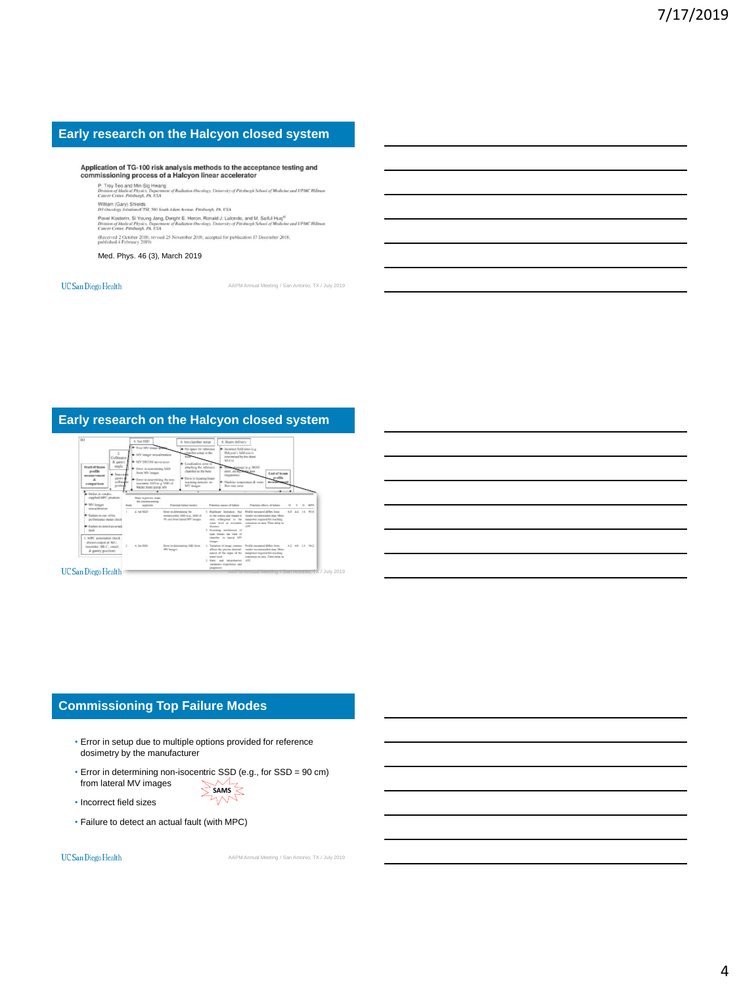### **Early research on the Halcyon closed system**

# Application of TG-100 risk analysis methods to the acceptance testing and<br>commissioning process of a Halcyon linear accelerator

P. Troy Teo and Min-Sig Hwang<br>Division of Medical Physics, Department of Radiation On<br>Cancer Center, Pittsburgh, PA, USA **sity of Pittsburgh School of Medicine and UPMC Hillman** ology, Univ

William (Gary) Shields<br>D3 Oncology Solutions/CTSI, 580 South Aiken Avenue, Pittsburgh, PA, USA

ass concessiges scenarion U.S.C. Stor South Auton Avenue, Praisturge, PA, USA<br>Parvel Kontatein, Si Vourop, Jamp, Dwight E. Heron, Roevald J. Lakonda, and M. Sallul Huaf<sup>ni</sup><br>Division of Medical Physics, Department of Rudiat and UPMC Hillman

(Received 2 October 2018; revised 25 November 2018; accepted for publication 17 December 2018; published 4 February 2019)

Med. Phys. 46 (3), March 2019

#### **UC** San Diego Health

AAPM Annual Meeting / San Antonio, TX / July 2019

### **Early research on the Halcyon closed system**



**UC** San Diego Health

### **Commissioning Top Failure Modes**

- Error in setup due to multiple options provided for reference dosimetry by the manufacturer
- Error in determining non-isocentric SSD (e.g., for SSD = 90 cm) from lateral MV images SAMS
- Incorrect field sizes
- Failure to detect an actual fault (with MPC)

UC San Diego Health

AAPM Annual Meeting / San Antonio, TX / July 2019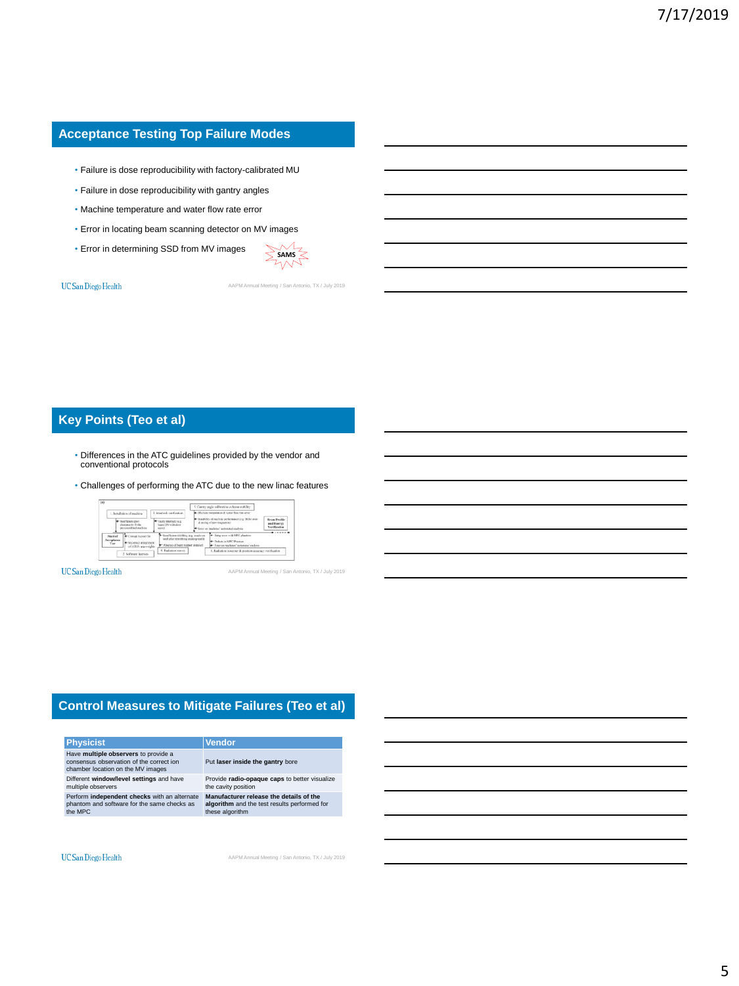### **Acceptance Testing Top Failure Modes**

- Failure is dose reproducibility with factory-calibrated MU
- Failure in dose reproducibility with gantry angles
- Machine temperature and water flow rate error
- Error in locating beam scanning detector on MV images
- Error in determining SSD from MV images



#### **UC** San Diego Health

AAPM Annual Meeting / San Antonio, TX / July 2019

# **Key Points (Teo et al)**

- Differences in the ATC guidelines provided by the vendor and conventional protocols
- Challenges of performing the ATC due to the new linac features

|                                 |                                                                                |                                                                                                                         | 5. Gustry angle calibration vs been stability.                                                                             |                                                               |
|---------------------------------|--------------------------------------------------------------------------------|-------------------------------------------------------------------------------------------------------------------------|----------------------------------------------------------------------------------------------------------------------------|---------------------------------------------------------------|
|                                 | 1. Is sullation of machine                                                     | 3. Interlock verification                                                                                               | 4-Machine transportation & water flow rate error.                                                                          |                                                               |
|                                 | <b>In the Original Court</b><br>clearance to dealer.<br>pre-assembled rasching | * Facty interlect (e.g.<br>hours CIN with door<br>$-0.0001$                                                             | - Instal-like of mocking performance (e.g. BGM error<br>A going of new mannerosh<br>* Einer an machines' automated grabels | <b>Bram Profile</b><br>and Energy<br><b>Vierdifferentians</b> |
| Start of<br>Acceptance<br>Test. | Consor Some file<br><b>INTERNATIONAL SOFTWARE</b><br>of ARIA users rights      | By togetherer chickles (e.g. excits on<br>wall after retroliting expline vaulti-<br>* Absence of beam stapper installed | 14 Setup area with MPC plumions<br><sup>14</sup> Defant in MPC Plastors<br>50 Texas an excelsions' automated study in      |                                                               |
|                                 | 2. Software licenses                                                           | 4. Radiation survey.                                                                                                    | 6. Radiation isoccenter & position accuracy verification                                                                   |                                                               |

**UC** San Diego Health

AAPM Annual Meeting / San Antonio, TX / July 2019

### **Control Measures to Mitigate Failures (Teo et al)**

| <b>Physicist</b>                                                                                                      |
|-----------------------------------------------------------------------------------------------------------------------|
| Have multiple observers to provide a<br>consensus observation of the correct ion<br>chamber location on the MV images |
| Different window/level settings and have<br>multiple observers                                                        |

Perform **independent checks** with an alternate phantom and software for the same checks as the MPC

# **Vendor**

Put **laser inside the gantry** bore Provide **radio-opaque caps** to better visualize the cavity position

**Manufacturer release the details of the algorithm** and the test results performed for these algorithm

#### UC San Diego Health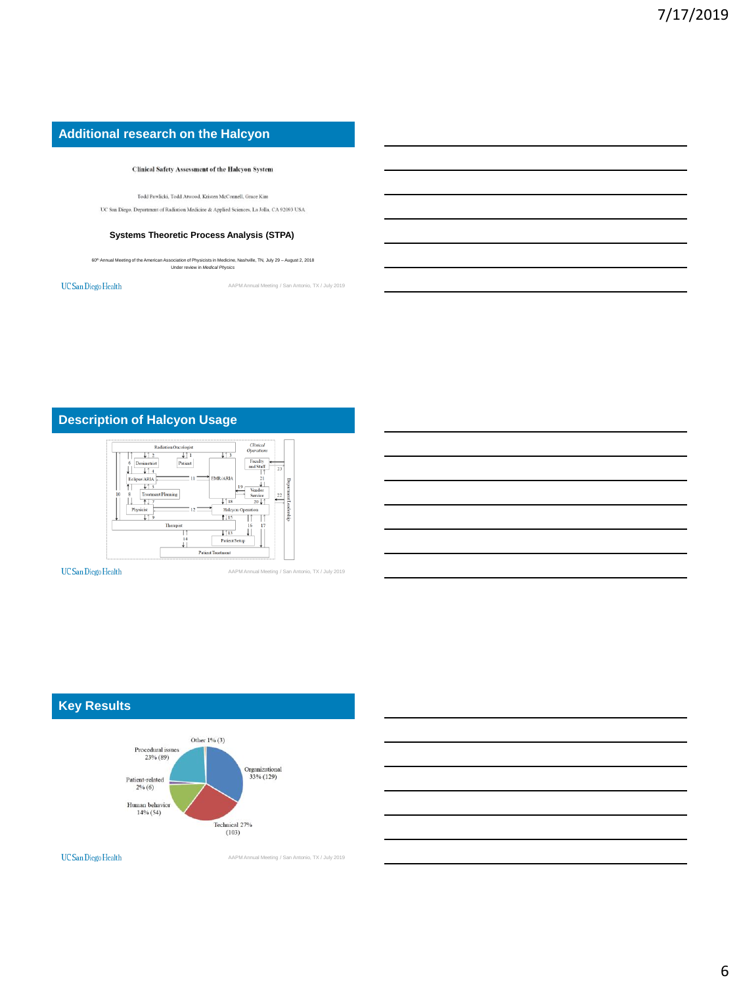# **Additional research on the Halcyon**

#### **Clinical Safety Assessment of the Halcyon System**

Todd Pawlicki, Todd Atwood, Kristen McConnell, Grace Kim

 $\rm UC$ San Diego, Department of Radiation Medicine & Applied Sciences, La Jolla, CA 92093 USA

#### **Systems Theoretic Process Analysis (STPA)**

60th Annual Meeting of the American Association of Physicists in Medicine, Nashville, TN, July 29 – August 2, 2018 Under review in *Medical Physics*

 $UC$ San Diego Health

AAPM Annual Meeting / San Antonio, TX / July 2019

# **Description of Halcyon Usage**



**UC** San Diego Health

AAPM Annual Meeting / San Antonio, TX / July 2019

# **Key Results**



UC San Diego Health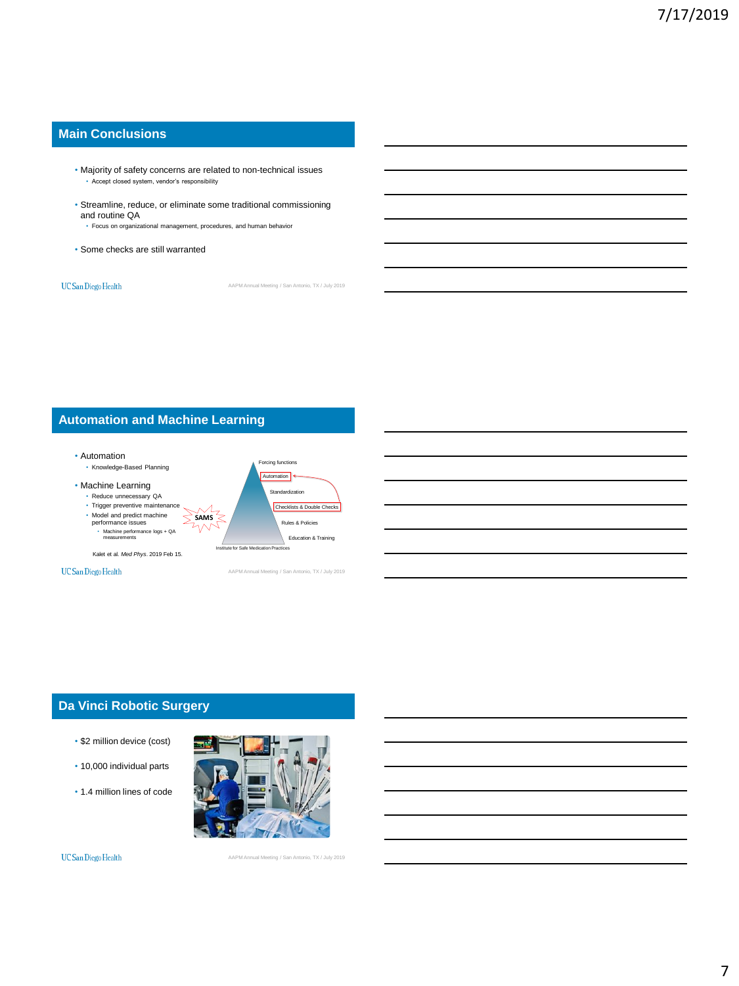### **Main Conclusions**

- Majority of safety concerns are related to non-technical issues • Accept closed system, vendor's responsibility
- Streamline, reduce, or eliminate some traditional commissioning and routine QA
	- Focus on organizational management, procedures, and human behavior
- Some checks are still warranted

**UC** San Diego Health

AAPM Annual Meeting / San Antonio, TX / July 2019

# **Automation and Machine Learning**



**UC** San Diego Health

AAPM Annual Meeting / San Antonio, TX / July 2019

### **Da Vinci Robotic Surgery**

- \$2 million device (cost)
- 10,000 individual parts
- 1.4 million lines of code



**UC** San Diego Health